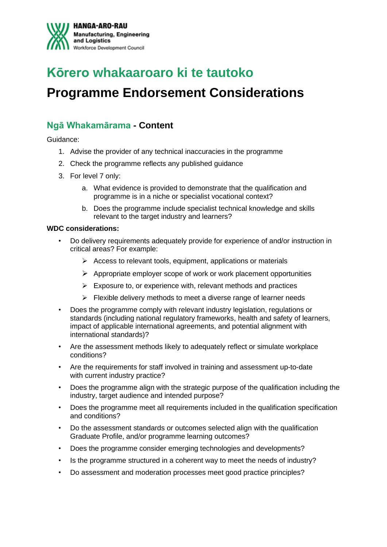

# **Kōrero whakaaroaro ki te tautoko**

## **Programme Endorsement Considerations**

## **Ngā Whakamārama - Content**

Guidance:

- 1. Advise the provider of any technical inaccuracies in the programme
- 2. Check the programme reflects any published guidance
- 3. For level 7 only:
	- a. What evidence is provided to demonstrate that the qualification and programme is in a niche or specialist vocational context?
	- b. Does the programme include specialist technical knowledge and skills relevant to the target industry and learners?

#### **WDC considerations:**

- Do delivery requirements adequately provide for experience of and/or instruction in critical areas? For example:
	- $\triangleright$  Access to relevant tools, equipment, applications or materials
	- ➢ Appropriate employer scope of work or work placement opportunities
	- $\triangleright$  Exposure to, or experience with, relevant methods and practices
	- ➢ Flexible delivery methods to meet a diverse range of learner needs
- Does the programme comply with relevant industry legislation, regulations or standards (including national regulatory frameworks, health and safety of learners, impact of applicable international agreements, and potential alignment with international standards)?
- Are the assessment methods likely to adequately reflect or simulate workplace conditions?
- Are the requirements for staff involved in training and assessment up-to-date with current industry practice?
- Does the programme align with the strategic purpose of the qualification including the industry, target audience and intended purpose?
- Does the programme meet all requirements included in the qualification specification and conditions?
- Do the assessment standards or outcomes selected align with the qualification Graduate Profile, and/or programme learning outcomes?
- Does the programme consider emerging technologies and developments?
- Is the programme structured in a coherent way to meet the needs of industry?
- Do assessment and moderation processes meet good practice principles?